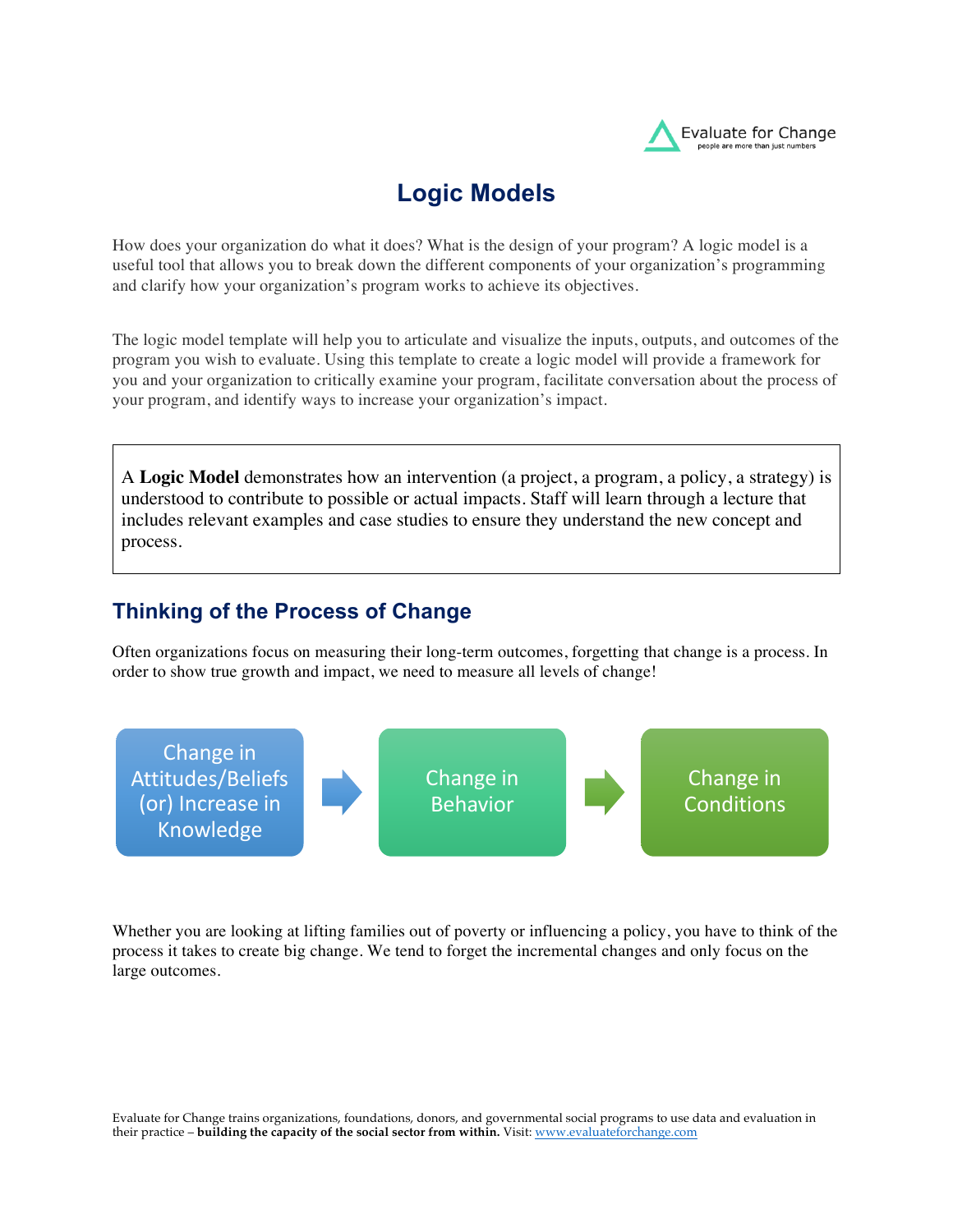

## **Logic Models**

How does your organization do what it does? What is the design of your program? A logic model is a useful tool that allows you to break down the different components of your organization's programming and clarify how your organization's program works to achieve its objectives.

The logic model template will help you to articulate and visualize the inputs, outputs, and outcomes of the program you wish to evaluate. Using this template to create a logic model will provide a framework for you and your organization to critically examine your program, facilitate conversation about the process of your program, and identify ways to increase your organization's impact.

A **Logic Model** demonstrates how an intervention (a project, a program, a policy, a strategy) is understood to contribute to possible or actual impacts. Staff will learn through a lecture that includes relevant examples and case studies to ensure they understand the new concept and process.

## **Thinking of the Process of Change**

Often organizations focus on measuring their long-term outcomes, forgetting that change is a process. In order to show true growth and impact, we need to measure all levels of change!



Whether you are looking at lifting families out of poverty or influencing a policy, you have to think of the process it takes to create big change. We tend to forget the incremental changes and only focus on the large outcomes.